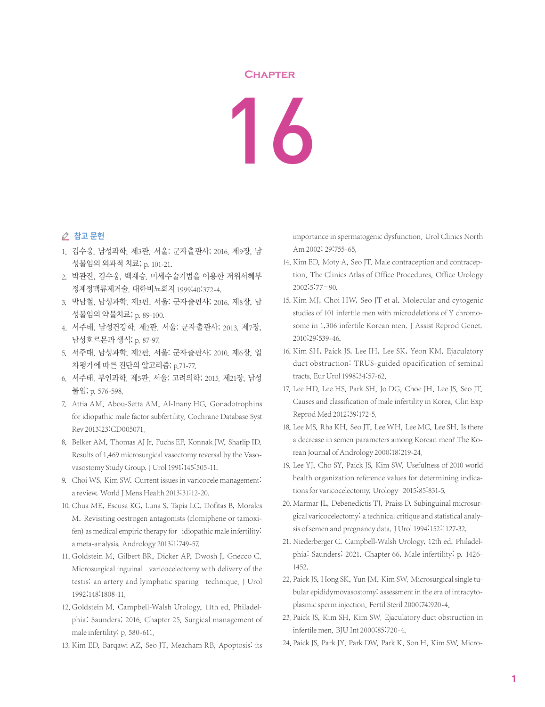## **Chapter**

## 16

## △ 참고 문헌

- 1. 김수웅. 남성과학. 제3판. 서울: 군자출판사; 2016. 제9장, 남 성불임의 외과적 치료; p. 101-21.
- 2. 박관진, 김수웅, 백재승. 미세수술기법을 이용한 저위서혜부 정계정맥류제거술. 대한비뇨회지 1999;40:372-4.
- 3. 박남철. 남성과학. 제3판. 서울: 군자출판사; 2016. 제8장, 남 성불임의 약물치료; p. 89-100.
- 4. 서주태. 남성건강학. 제2판. 서울: 군자출판사; 2013. 제7장, 남성호르몬과 생식; p. 87-97.
- 5. 서주태. 남성과학. 제2판. 서울: 군자출판사; 2010. 제6장, 일 차평가에 따른 진단의 알고리즘; p.71-77.
- 6. 서주태. 부인과학. 제5판. 서울: 고려의학; 2015. 제21장, 남성 불임; p. 576-598.
- 7. Attia AM, Abou-Setta AM, Al-Inany HG. Gonadotrophins for idiopathic male factor subfertility. Cochrane Database Syst Rev 2013;23:CD005071.
- 8. Belker AM, Thomas AJ Jr, Fuchs EF, Konnak JW, Sharlip ID. Results of 1,469 microsurgical vasectomy reversal by the Vasovasostomy Study Group. J Urol 1991;145:505-11.
- 9. Choi WS, Kim SW. Current issues in varicocele management: a review. World J Mens Health 2013;31:12-20.
- 10. Chua ME, Escusa KG, Luna S, Tapia LC, Dofitas B, Morales M. Revisiting oestrogen antagonists (clomiphene or tamoxifen) as medical empiric therapy for idiopathic male infertility: a meta-analysis. Andrology 2013;1:749-57.
- 11. Goldstein M, Gilbert BR, Dicker AP, Dwosh J, Gnecco C. Microsurgical inguinal varicocelectomy with delivery of the testis: an artery and lymphatic sparing technique. J Urol 1992;148:1808-11.
- 12. Goldstein M. Campbell-Walsh Urology, 11th ed. Philadelphia: Saunders; 2016. Chapter 25, Surgical management of male infertility; p. 580-611.
- 13. Kim ED, Barqawi AZ, Seo JT, Meacham RB. Apoptosis: its

importance in spermatogenic dysfunction. Urol Clinics North Am 2002; 29:755-65.

- 14. Kim ED, Moty A, Seo JT. Male contraception and contraception. The Clinics Atlas of Office Procedures, Office Urology 2002;5:77–90.
- 15. Kim MJ, Choi HW, Seo JT et al. Molecular and cytogenic studies of 101 infertile men with microdeletions of Y chromosome in 1,306 infertile Korean men. J Assist Reprod Genet. 2010;29:539-46.
- 16. Kim SH, Paick JS, Lee IH, Lee SK, Yeon KM, Ejaculatory duct obstruction: TRUS-guided opacification of seminal tracts. Eur Urol 1998;34:57-62.
- 17. Lee HD, Lee HS, Park SH, Jo DG, Choe JH, Lee JS, Seo JT. Causes and classification of male infertility in Korea. Clin Exp Reprod Med 2012;39:172-5.
- 18. Lee MS, Rha KH, Seo JT, Lee WH, Lee MC, Lee SH. Is there a decrease in semen parameters among Korean men? The Korean Journal of Andrology 2000;18:219-24.
- 19. Lee YJ, Cho SY, Paick JS, Kim SW. Usefulness of 2010 world health organization reference values for determining indications for varicocelectomy. Urology 2015;85:831-5.
- 20. Marmar JL, Debenedictis TJ, Praiss D. Subinguinal microsurgical varicocelectomy: a technical critique and statistical analysis of semen and pregnancy data. J Urol 1994;152:1127-32.
- 21. Niederberger C. Campbell-Walsh Urology, 12th ed. Philadelphia: Saunders; 2021. Chapter 66, Male infertility; p. 1426- 1452.
- 22. Paick JS, Hong SK, Yun JM, Kim SW. Microsurgical single tubular epididymovasostomy: assessment in the era of intracytoplasmic sperm injection. Fertil Steril 2000;74:920-4.
- 23. Paick JS, Kim SH, Kim SW. Ejaculatory duct obstruction in infertile men. BJU Int 2000;85:720-4.
- 24. Paick JS, Park JY, Park DW, Park K, Son H, Kim SW. Micro-